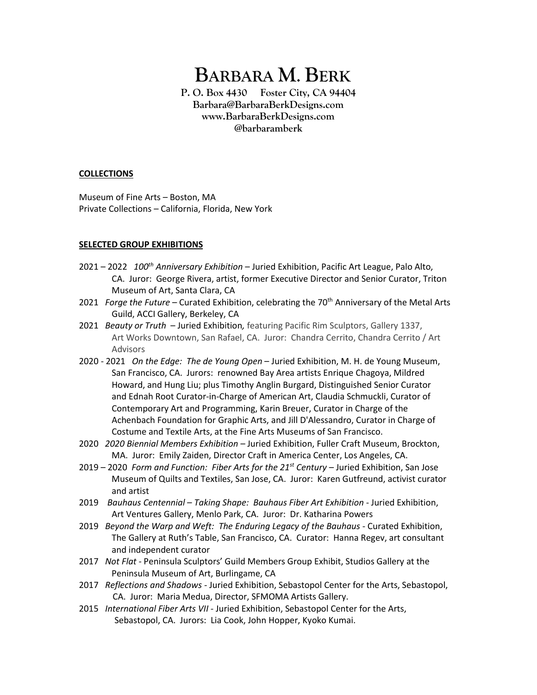# **BARBARA M. BERK**

**P. O. Box 4430 Foster City, CA 94404 Barbara@BarbaraBerkDesigns.com www.BarbaraBerkDesigns.com @barbaramberk**

## **COLLECTIONS**

Museum of Fine Arts – Boston, MA Private Collections – California, Florida, New York

## **SELECTED GROUP EXHIBITIONS**

- 2021 2022 *100th Anniversary Exhibition* Juried Exhibition, Pacific Art League, Palo Alto, CA. Juror: George Rivera, artist, former Executive Director and Senior Curator, Triton Museum of Art, Santa Clara, CA
- 2021 *Forge the Future* Curated Exhibition, celebrating the 70<sup>th</sup> Anniversary of the Metal Arts Guild, ACCI Gallery, Berkeley, CA
- 2021 *Beauty or Truth*  Juried Exhibition*,* featuring Pacific Rim Sculptors, Gallery 1337, Art Works Downtown, San Rafael, CA. Juror: Chandra Cerrito, Chandra Cerrito / Art Advisors
- 2020 2021 *On the Edge: The de Young Open* Juried Exhibition, M. H. de Young Museum, San Francisco, CA. Jurors: renowned Bay Area artists Enrique Chagoya, Mildred Howard, and Hung Liu; plus Timothy Anglin Burgard, Distinguished Senior Curator and Ednah Root Curator-in-Charge of American Art, Claudia Schmuckli, Curator of Contemporary Art and Programming, Karin Breuer, Curator in Charge of the Achenbach Foundation for Graphic Arts, and Jill D'Alessandro, Curator in Charge of Costume and Textile Arts, at the Fine Arts Museums of San Francisco.
- 2020 *2020 Biennial Members Exhibition –* Juried Exhibition, Fuller Craft Museum, Brockton, MA. Juror: Emily Zaiden, Director Craft in America Center, Los Angeles, CA.
- 2019 2020 *Form and Function: Fiber Arts for the 21st Century* Juried Exhibition, San Jose Museum of Quilts and Textiles, San Jose, CA. Juror: Karen Gutfreund, activist curator and artist
- 2019 *Bauhaus Centennial – Taking Shape: Bauhaus Fiber Art Exhibition*  Juried Exhibition, Art Ventures Gallery, Menlo Park, CA. Juror: Dr. Katharina Powers
- 2019 *Beyond the Warp and Weft: The Enduring Legacy of the Bauhaus* Curated Exhibition, The Gallery at Ruth's Table, San Francisco, CA. Curator: Hanna Regev, art consultant and independent curator
- 2017 *Not Flat* Peninsula Sculptors' Guild Members Group Exhibit, Studios Gallery at the Peninsula Museum of Art, Burlingame, CA
- 2017 *Reflections and Shadows -* Juried Exhibition, Sebastopol Center for the Arts, Sebastopol, CA. Juror: Maria Medua, Director, SFMOMA Artists Gallery.
- 2015 *International Fiber Arts VII -* Juried Exhibition, Sebastopol Center for the Arts, Sebastopol, CA. Jurors: Lia Cook, John Hopper, Kyoko Kumai.